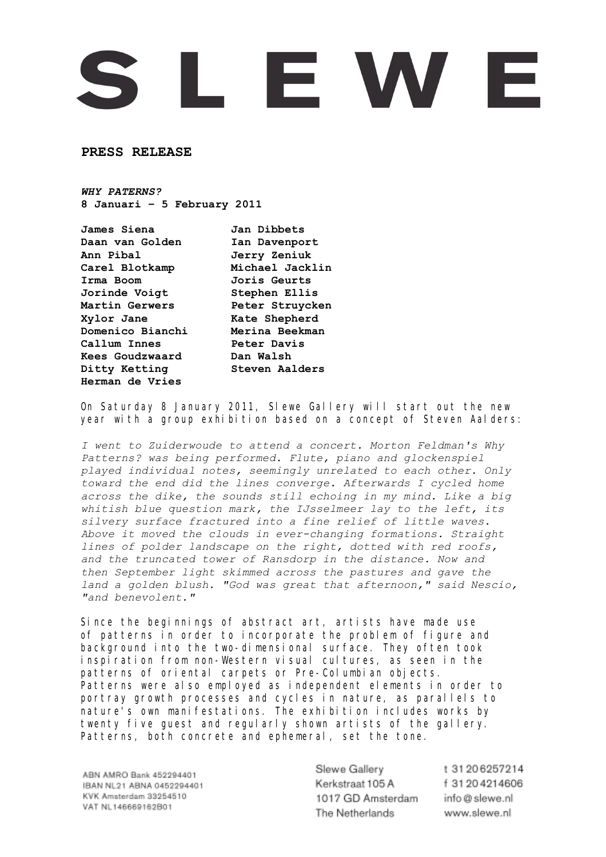## L E W E

**PRESS RELEASE** 

*WHY PATERNS?* **8 Januari – 5 February 2011**

**James Siena Jan Dibbets Daan van Golden Ian Davenport Ann Pibal Jerry Zeniuk Carel Blotkamp Michael Jacklin Irma Boom Joris Geurts Jorinde Voigt Stephen Ellis Martin Gerwers Peter Struycken Xylor Jane Kate Shepherd Domenico Bianchi Merina Beekman Callum Innes Peter Davis Kees Goudzwaard Dan Walsh Ditty Ketting Steven Aalders Herman de Vries**

On Saturday 8 January 2011, Slewe Gallery will start out the new year with a group exhibition based on a concept of Steven Aalders:

*I went to Zuiderwoude to attend a concert. Morton Feldman's Why Patterns? was being performed. Flute, piano and glockenspiel played individual notes, seemingly unrelated to each other. Only toward the end did the lines converge. Afterwards I cycled home across the dike, the sounds still echoing in my mind. Like a big whitish blue question mark, the IJsselmeer lay to the left, its silvery surface fractured into a fine relief of little waves. Above it moved the clouds in ever-changing formations. Straight lines of polder landscape on the right, dotted with red roofs, and the truncated tower of Ransdorp in the distance. Now and then September light skimmed across the pastures and gave the land a golden blush. "God was great that afternoon," said Nescio, "and benevolent."*

Since the beginnings of abstract art, artists have made use of patterns in order to incorporate the problem of figure and background into the two-dimensional surface. They often took inspiration from non-Western visual cultures, as seen in the patterns of oriental carpets or Pre-Columbian objects. Patterns were also employed as independent elements in order to portray growth processes and cycles in nature, as parallels to nature's own manifestations. The exhibition includes works by twenty five guest and regularly shown artists of the gallery. Patterns, both concrete and ephemeral, set the tone.

ABN AMRO Bank 452294401 IBAN NL21 ABNA 0452294401 KVK Amsterdam 33254510 VAT NL146669162B01

Slewe Gallery Kerkstraat 105 A 1017 GD Amsterdam The Netherlands

t 31 20 6 25 7 2 1 4 f 31 20 4 21 4 6 0 6 info@slewe.nl www.slewe.nl